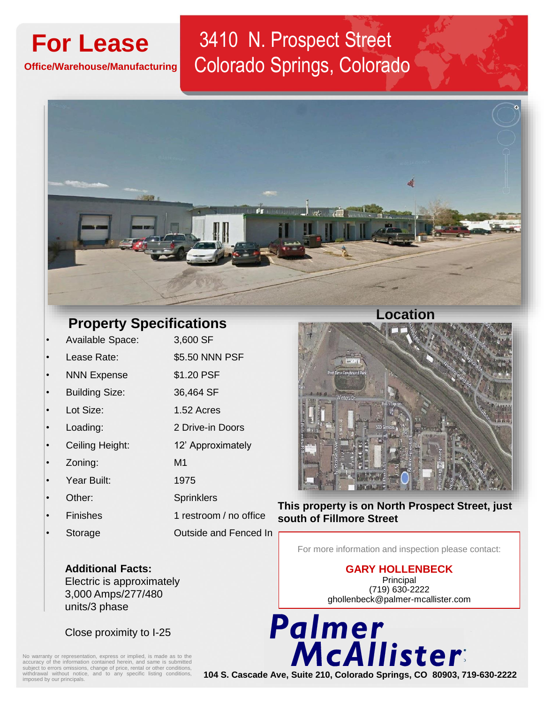**Office/Warehouse/Manufacturing** 

## **For Lease** 3410 N. Prospect Street Colorado Springs, Colorado



## **Property Specifications**

- Available Space: 3,600 SF Lease Rate: \$5.50 NNN PSF NNN Expense \$1.20 PSF • Building Size: 36,464 SF
- Lot Size: 1.52 Acres
- Loading: 2 Drive-in Doors
- Ceiling Height: 12' Approximately
- Zoning: M1
- Year Built: 1975
- Other: Sprinklers
- 
- 
- Finishes 1 restroom / no office • Storage Outside and Fenced In



**This property is on North Prospect Street, just south of Fillmore Street** 

For more information and inspection please contact:

**GARY HOLLENBECK** Principal (719) 630-2222

**Additional Facts:**  Electric is approximately 3,000 Amps/277/480 units/3 phase

Close proximity to I-25

No warranty or representation, express or implied, is made as to the accuracy of the information contained herein, and same is submitted subject to errors omissions, change of price, rental or other conditions, withdrawal

ghollenbeck@palmer-mcallister.com

2 North Cascade Avenue, Suite 610, Colorado Springs, CO 80903 **104 S. Cascade Ave, Suite 210, Colorado Springs, CO 80903, 719-630-2222**